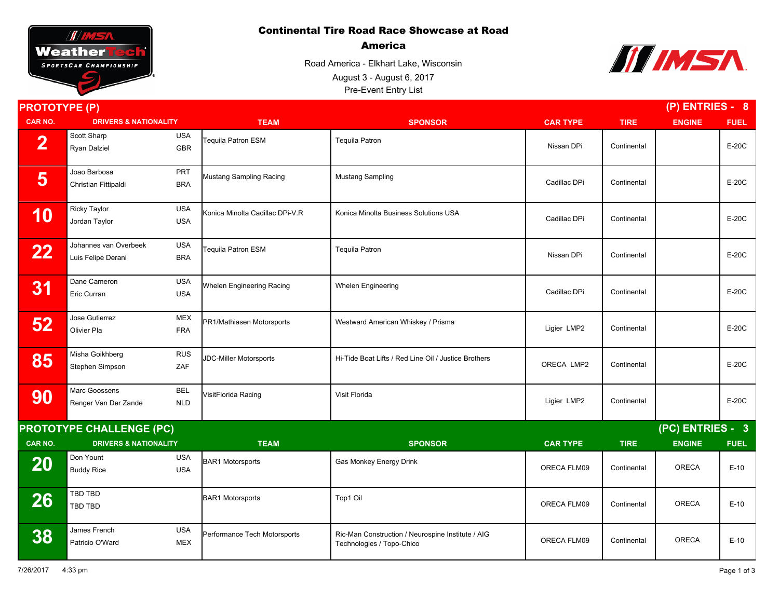## Continental Tire Road Race Showcase at Road



America

Road America - Elkhart Lake, Wisconsin Pre-Event Entry List August 3 - August 6, 2017



| <b>PROTOTYPE (P)</b>            |                                             |                          |                                  | $(P)$ ENTRIES - 8                                                              |                 |             |                  |             |  |
|---------------------------------|---------------------------------------------|--------------------------|----------------------------------|--------------------------------------------------------------------------------|-----------------|-------------|------------------|-------------|--|
| <b>CAR NO.</b>                  | <b>DRIVERS &amp; NATIONALITY</b>            |                          | <b>TEAM</b>                      | <b>SPONSOR</b>                                                                 | <b>CAR TYPE</b> | <b>TIRE</b> | <b>ENGINE</b>    | <b>FUEL</b> |  |
| $\overline{2}$                  | Scott Sharp<br>Ryan Dalziel                 | <b>USA</b><br><b>GBR</b> | Tequila Patron ESM               | <b>Tequila Patron</b>                                                          | Nissan DPi      | Continental |                  | $E-20C$     |  |
| 5                               | Joao Barbosa<br>Christian Fittipaldi        | PRT<br><b>BRA</b>        | Mustang Sampling Racing          | <b>Mustang Sampling</b>                                                        | Cadillac DPi    | Continental |                  | $E-20C$     |  |
| 10                              | <b>Ricky Taylor</b><br>Jordan Taylor        | <b>USA</b><br><b>USA</b> | Konica Minolta Cadillac DPi-V.R  | Konica Minolta Business Solutions USA                                          | Cadillac DPi    | Continental |                  | $E-20C$     |  |
| 22                              | Johannes van Overbeek<br>Luis Felipe Derani | <b>USA</b><br><b>BRA</b> | Tequila Patron ESM               | <b>Tequila Patron</b>                                                          | Nissan DPi      | Continental |                  | E-20C       |  |
| 31                              | Dane Cameron<br>Eric Curran                 | <b>USA</b><br><b>USA</b> | <b>Whelen Engineering Racing</b> | <b>Whelen Engineering</b>                                                      | Cadillac DPi    | Continental |                  | $E-20C$     |  |
| 52                              | Jose Gutierrez<br>Olivier Pla               | <b>MEX</b><br><b>FRA</b> | PR1/Mathiasen Motorsports        | Westward American Whiskey / Prisma                                             | Ligier LMP2     | Continental |                  | $E-20C$     |  |
| 85                              | Misha Goikhberg<br>Stephen Simpson          | <b>RUS</b><br>ZAF        | <b>JDC-Miller Motorsports</b>    | Hi-Tide Boat Lifts / Red Line Oil / Justice Brothers                           | ORECA LMP2      | Continental |                  | $E-20C$     |  |
| 90                              | Marc Goossens<br>Renger Van Der Zande       | <b>BEL</b><br><b>NLD</b> | VisitFlorida Racing              | Visit Florida                                                                  | Ligier LMP2     | Continental |                  | E-20C       |  |
| <b>PROTOTYPE CHALLENGE (PC)</b> |                                             |                          |                                  |                                                                                |                 |             | (PC) ENTRIES - 3 |             |  |
| CAR NO.                         | <b>DRIVERS &amp; NATIONALITY</b>            |                          | <b>TEAM</b>                      | <b>SPONSOR</b>                                                                 | <b>CAR TYPE</b> | <b>TIRE</b> | <b>ENGINE</b>    | <b>FUEL</b> |  |
| 20                              | Don Yount<br><b>Buddy Rice</b>              | <b>USA</b><br><b>USA</b> | <b>BAR1 Motorsports</b>          | Gas Monkey Energy Drink                                                        | ORECA FLM09     | Continental | <b>ORECA</b>     | $E-10$      |  |
| 26                              | TBD TBD<br>TBD TBD                          |                          | <b>BAR1 Motorsports</b>          | Top1 Oil                                                                       | ORECA FLM09     | Continental | <b>ORECA</b>     | $E-10$      |  |
| 38                              | James French<br>Patricio O'Ward             | <b>USA</b><br>MEX        | Performance Tech Motorsports     | Ric-Man Construction / Neurospine Institute / AIG<br>Technologies / Topo-Chico | ORECA FLM09     | Continental | <b>ORECA</b>     | $E-10$      |  |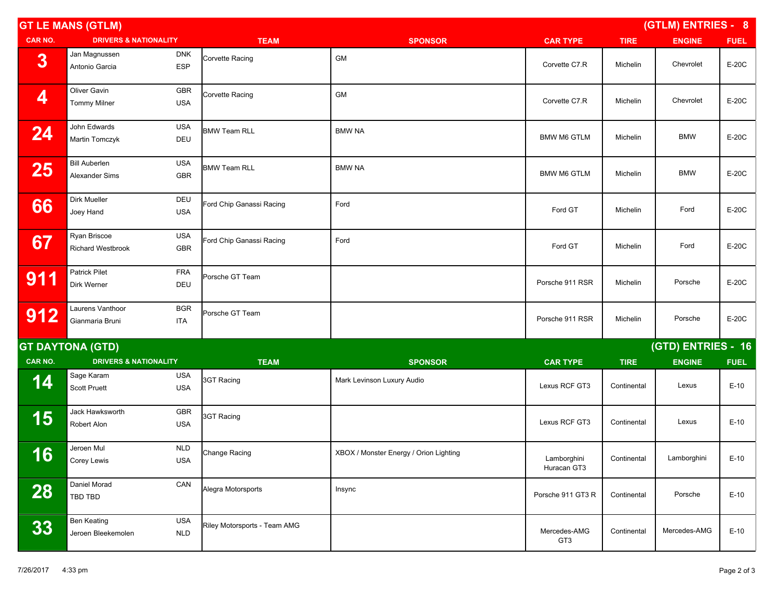| <b>GT LE MANS (GTLM)</b> |                                          |                          |                              | (GTLM) ENTRIES - 8                     |                            |             |                    |             |
|--------------------------|------------------------------------------|--------------------------|------------------------------|----------------------------------------|----------------------------|-------------|--------------------|-------------|
| <b>CAR NO.</b>           | <b>DRIVERS &amp; NATIONALITY</b>         |                          | <b>TEAM</b>                  | <b>SPONSOR</b>                         | <b>CAR TYPE</b>            | <b>TIRE</b> | <b>ENGINE</b>      | <b>FUEL</b> |
| 3                        | Jan Magnussen<br>Antonio Garcia          | <b>DNK</b><br>ESP        | Corvette Racing              | GM                                     | Corvette C7.R              | Michelin    | Chevrolet          | E-20C       |
| 4                        | Oliver Gavin<br><b>Tommy Milner</b>      | <b>GBR</b><br><b>USA</b> | Corvette Racing              | <b>GM</b>                              | Corvette C7.R              | Michelin    | Chevrolet          | E-20C       |
| 24                       | John Edwards<br>Martin Tomczyk           | USA<br>DEU               | <b>BMW Team RLL</b>          | <b>BMW NA</b>                          | <b>BMW M6 GTLM</b>         | Michelin    | <b>BMW</b>         | E-20C       |
| 25                       | <b>Bill Auberlen</b><br>Alexander Sims   | USA<br>GBR               | <b>BMW Team RLL</b>          | <b>BMW NA</b>                          | <b>BMW M6 GTLM</b>         | Michelin    | <b>BMW</b>         | E-20C       |
| 66                       | Dirk Mueller<br>Joey Hand                | DEU<br><b>USA</b>        | Ford Chip Ganassi Racing     | Ford                                   | Ford GT                    | Michelin    | Ford               | E-20C       |
| 67                       | Ryan Briscoe<br><b>Richard Westbrook</b> | <b>USA</b><br>GBR        | Ford Chip Ganassi Racing     | Ford                                   | Ford GT                    | Michelin    | Ford               | E-20C       |
| 911                      | Patrick Pilet<br>Dirk Werner             | FRA<br>DEU               | Porsche GT Team              |                                        | Porsche 911 RSR            | Michelin    | Porsche            | E-20C       |
| 912                      | Laurens Vanthoor<br>Gianmaria Bruni      | <b>BGR</b><br><b>ITA</b> | Porsche GT Team              |                                        | Porsche 911 RSR            | Michelin    | Porsche            | E-20C       |
|                          | <b>GT DAYTONA (GTD)</b>                  |                          |                              |                                        |                            |             | (GTD) ENTRIES - 16 |             |
| CAR NO.                  | <b>DRIVERS &amp; NATIONALITY</b>         |                          | <b>TEAM</b>                  | <b>SPONSOR</b>                         | <b>CAR TYPE</b>            | <b>TIRE</b> | <b>ENGINE</b>      | <b>FUEL</b> |
| 14                       | Sage Karam<br><b>Scott Pruett</b>        | <b>USA</b><br><b>USA</b> | 3GT Racing                   | Mark Levinson Luxury Audio             | Lexus RCF GT3              | Continental | Lexus              | $E-10$      |
| 15                       | Jack Hawksworth<br>Robert Alon           | GBR<br><b>USA</b>        | 3GT Racing                   |                                        | Lexus RCF GT3              | Continental | Lexus              | $E-10$      |
| 16                       | Jeroen Mul<br>Corey Lewis                | <b>NLD</b><br><b>USA</b> | Change Racing                | XBOX / Monster Energy / Orion Lighting | Lamborghini<br>Huracan GT3 | Continental | Lamborghini        | $E-10$      |
| 28                       | Daniel Morad<br>TBD TBD                  | CAN                      | Alegra Motorsports           | Insync                                 | Porsche 911 GT3 R          | Continental | Porsche            | $E-10$      |
| 33                       | <b>Ben Keating</b><br>Jeroen Bleekemolen | <b>USA</b><br><b>NLD</b> | Riley Motorsports - Team AMG |                                        | Mercedes-AMG<br>GT3        | Continental | Mercedes-AMG       | $E-10$      |